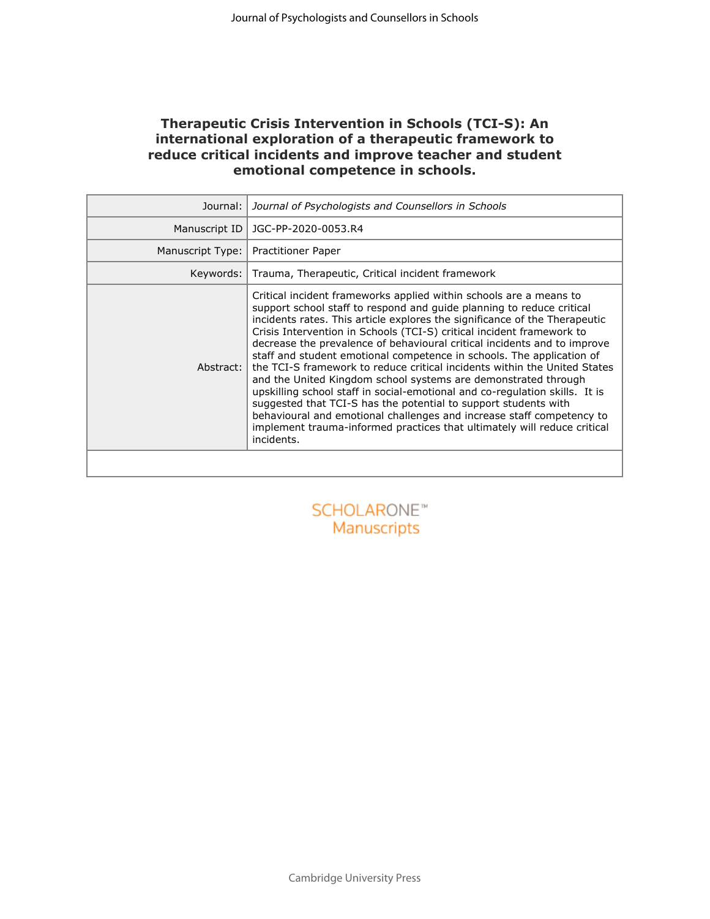# **Therapeutic Crisis Intervention in Schools (TCI-S): An international exploration of a therapeutic framework to reduce critical incidents and improve teacher and student emotional competence in schools.**

| Journal:                               | Journal of Psychologists and Counsellors in Schools                                                                                                                                                                                                                                                                                                                                                                                                                                                                                                                                                                                                                                                                                                                                                                                                                                                                         |
|----------------------------------------|-----------------------------------------------------------------------------------------------------------------------------------------------------------------------------------------------------------------------------------------------------------------------------------------------------------------------------------------------------------------------------------------------------------------------------------------------------------------------------------------------------------------------------------------------------------------------------------------------------------------------------------------------------------------------------------------------------------------------------------------------------------------------------------------------------------------------------------------------------------------------------------------------------------------------------|
| Manuscript ID                          | JGC-PP-2020-0053.R4                                                                                                                                                                                                                                                                                                                                                                                                                                                                                                                                                                                                                                                                                                                                                                                                                                                                                                         |
| Manuscript Type:                       | <b>Practitioner Paper</b>                                                                                                                                                                                                                                                                                                                                                                                                                                                                                                                                                                                                                                                                                                                                                                                                                                                                                                   |
| Keywords:                              | Trauma, Therapeutic, Critical incident framework                                                                                                                                                                                                                                                                                                                                                                                                                                                                                                                                                                                                                                                                                                                                                                                                                                                                            |
| Abstract:                              | Critical incident frameworks applied within schools are a means to<br>support school staff to respond and guide planning to reduce critical<br>incidents rates. This article explores the significance of the Therapeutic<br>Crisis Intervention in Schools (TCI-S) critical incident framework to<br>decrease the prevalence of behavioural critical incidents and to improve<br>staff and student emotional competence in schools. The application of<br>the TCI-S framework to reduce critical incidents within the United States<br>and the United Kingdom school systems are demonstrated through<br>upskilling school staff in social-emotional and co-regulation skills. It is<br>suggested that TCI-S has the potential to support students with<br>behavioural and emotional challenges and increase staff competency to<br>implement trauma-informed practices that ultimately will reduce critical<br>incidents. |
|                                        |                                                                                                                                                                                                                                                                                                                                                                                                                                                                                                                                                                                                                                                                                                                                                                                                                                                                                                                             |
| SCHOLARONE <sup>*</sup><br>Manuscripts |                                                                                                                                                                                                                                                                                                                                                                                                                                                                                                                                                                                                                                                                                                                                                                                                                                                                                                                             |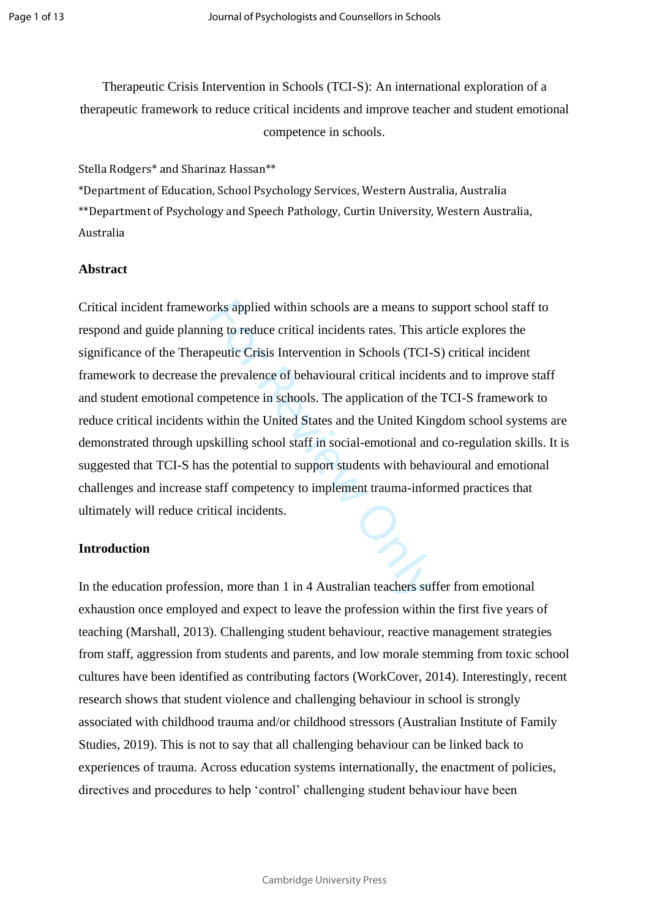Therapeutic Crisis Intervention in Schools (TCI -S): An international exploration of a therapeutic framework to reduce critical incidents and improve teacher and student emotional competence in schools.

#### Stella Rodgers \* and Sharinaz Hassan\*\*

\*Department of Education, School Psychology Services, Western Australia, Australia \*\*Department of Psychology and Speech Pathology, Curtin University, Western Australia, Australia

## **Abstract**

orks applied within schools are a means to s<br>ng to reduce critical incidents rates. This and<br>peutic Crisis Intervention in Schools (TCI-<br>ne prevalence of behavioural critical incider<br>mpetence in schools. The application of Critical incident frameworks applied within schools are a means to support school staff to respond and guide planning to reduce critical incidents rates. This article explores the significance of the Therapeutic Crisis Intervention in Schools (TCI -S) critical incident framework to decrease the prevalence of behavioural critical incidents and to improve staff and student emotional competence in schools. The application of the TCI -S framework to reduce critical incidents within the United States and the United Kingdom school systems are demonstrated through upskilling school staff in social-emotional and co-regulation skills. It is suggested that TCI -S has the potential to support students with behavioural and emotional challenges and increase staff competency to implement trauma -informed practices that ultimately will reduce critical incidents.

#### **Introduction**

In the education profession, more than 1 in 4 Australian teachers suffer from emotional exhaustion once employed and expect to leave the profession within the first five years of teaching (Marshall, 2013). Challenging student behaviour, reactive management strategies from staff, aggression from students and parents, and low morale stemming from toxic school cultures have been identified as contributing factors (WorkCover, 2014). Interestingly, recent research shows that student violence and challenging behaviour in school is strongly associated with childhood trauma and/or childhood stressors (Australian Institute of Family Studies, 2019). This is not to say that all challenging behaviour can be linked back to experiences of trauma. Across education systems internationally, the enactment of policies, directives and procedures to help 'control' challenging student behaviour have been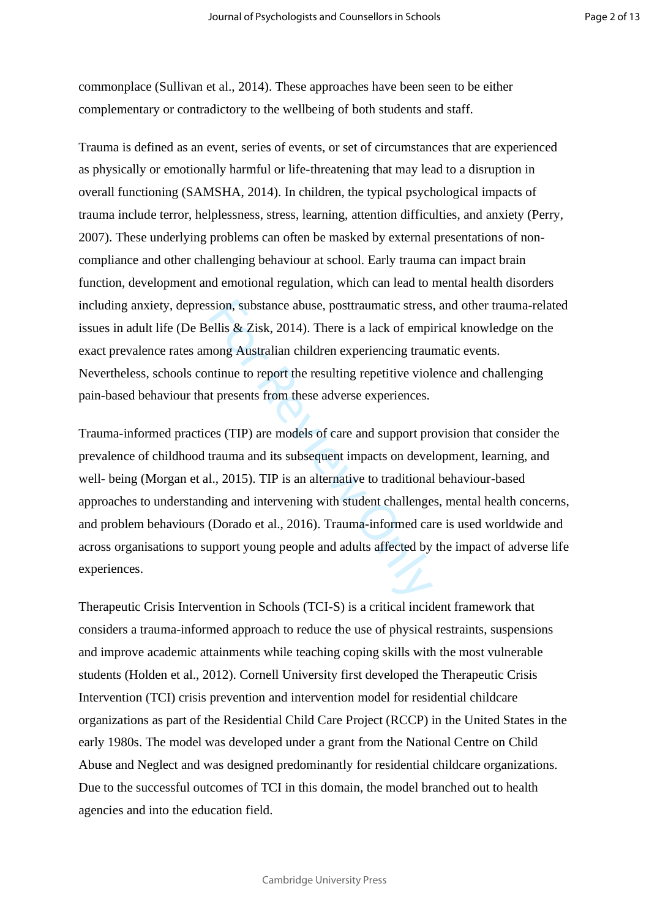commonplace (Sullivan et al., 2014). These approaches have been seen to be either complementary or contradictory to the wellbeing of both students and staff.

Trauma is defined as an event, series of events, or set of circumstances that are experienced as physically or emotionally harmful or life -threatening that may lead to a disruption in overall functioning (SAMSHA, 2014). In children, the typical psychological impacts of trauma include terror, helplessness, stress, learning, attention difficulties, and anxiety (Perry, 2007). These underlying problems can often be masked by external presentations of non compliance and other challenging behaviour at school. Early trauma can impact brain function, development and emotional regulation, which can lead to mental health disorders including anxiety, depression, substance abuse, posttraumatic stress, and other trauma-related issues in adult life (De Bellis & Zisk, 2014). There is a lack of empirical knowledge on the exact prevalence rates among Australian children experiencing traumatic events. Nevertheless, schools continue to report the resulting repetitive violence and challenging pain -based behaviour that presents from these adverse experiences.

sion, substance abuse, posttraumatic stress,<br>ellis & Zisk, 2014). There is a lack of empi<br>nong Australian children experiencing traun<br>tinue to report the resulting repetitive viole<br>t presents from these adverse experiences Trauma -informed practices (TIP) are models of care and support provision that consider the prevalence of childhood trauma and its subsequent impacts on development, learning, and well- being (Morgan et al., 2015). TIP is an alternative to traditional behaviour-based approaches to understanding and intervening with student challenges, mental health concerns, and problem behaviours (Dorado et al., 2016). Trauma - informed care is used worldwide and across organisations to support young people and adults affected by the impact of adverse life experiences.

Therapeutic Crisis Intervention in Schools (TCI -S) is a critical incident framework that considers a trauma -informed approach to reduce the use of physical restraints, suspensions and improve academic attainments while teaching coping skills with the most vulnerable students (Holden et al., 2012). Cornell University first developed the Therapeutic Crisis Intervention (TCI) crisis prevention and intervention model for residential childcare organizations as part of the Residential Child Care Project (RCCP) in the United States in the early 1980s. The model was developed under a grant from the National Centre on Child Abuse and Neglect and was designed predominantly for residential childcare organizations. Due to the successful outcomes of TCI in this domain, the model branched out to health agencies and into the education field.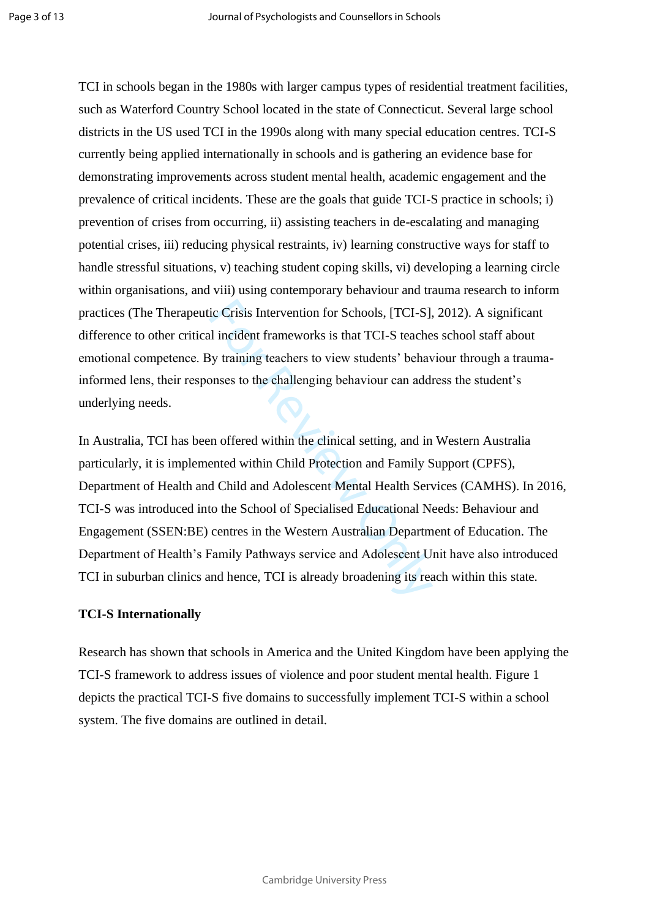TCI in schools began in the 1980s with larger campus types of residential treatment facilities, such as Waterford Country School located in the state of Connecticut. Several large school districts in the US used TCI in the 1990s along with many special education centres. TCI-S currently being applied internationally in schools and is gathering an evidence base for demonstrating improvements across student mental health, academic engagement and the prevalence of critical incidents. These are the goals that guide TCI-S practice in schools; i) prevention of crises from occurring, ii) assisting teachers in de -escalating and managing potential crises, iii) reducing physical restraints, iv) learning constructive ways for staff to handle stressful situations, v) teaching student coping skills, vi) developing a learning circle within organisations, and viii) using contemporary behaviour and trauma research to inform practices (The Therapeutic Crisis Intervention for Schools, [TCI -S], 2012). A significant difference to other critical incident frameworks is that TCI -S teaches school staff about emotional competence. By training teachers to view students' behaviour through a trauma informed lens, their responses to the challenging behaviour can address the student's underlying needs.

ic Crisis Intervention for Schools, [TCI-S],<br>
al incident frameworks is that TCI-S teache<br>
by training teachers to view students' behave<br>
onses to the challenging behaviour can addi<br>
and on offered within the clinical sett In Australia, TCI has been offered within the clinical setting, and in Western Australia particularly, it is implemented within Child Protection and Family Support (CPFS), Department of Health and Child and Adolescent Mental Health Services (CAMHS). In 2016, TCI -S was introduced into the School of Specialised Educational Needs: Behaviour and Engagement (SSEN:BE) centres in the Western Australian Department of Education. The Department of Health's Family Pathways service and Adolescent Unit have also introduced TCI in suburban clinics and hence, TCI is already broadening its reach within this state.

## **TCI -S Internationally**

Research has shown that schools in America and the United Kingdom have been applying the TCI -S framework to address issues of violence and poor student mental health. Figure 1 depicts the practical TCI -S five domains to successfully implement TCI -S within a school system. The five domains are outlined in detail.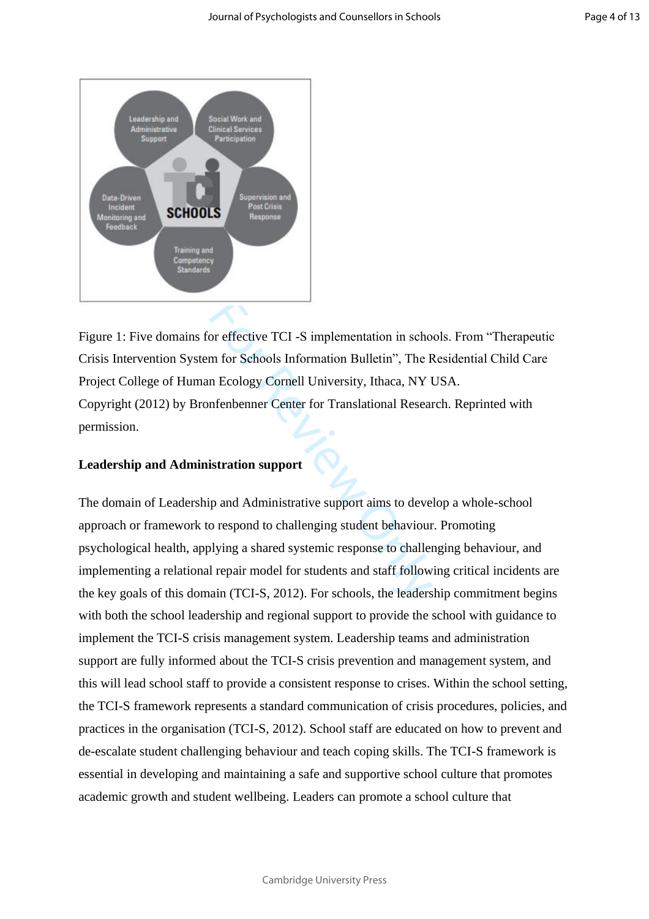

Figure 1: Five domains for effective TCI -S implementation in schools. From "Therapeutic Crisis Intervention System for Schools Information Bulletin", The Residential Child Care Project College of Human Ecology Cornell University, Ithaca, NY USA. Copyright (2012) by Bronfenbenner Center for Translational Research. Reprinted with permission.

## **Leadership and Administration support**

For effective TCI -S implementation in schom<br>
in for Schools Information Bulletin", The F<br>
in Ecology Cornell University, Ithaca, NY I<br>
infenbenner Center for Translational Resear<br>
istration support<br>
p and Administrative s The domain of Leadership and Administrative support aims to develop a whole -school approach or framework to respond to challenging student behaviour. Promoting psychological health, applying a shared systemic response to challenging behaviour, and implementing a relational repair model for students and staff following critical incidents are the key goals of this domain (TCI -S, 2012). For schools, the leadership commitment begins with both the school leadership and regional support to provide the school with guidance to implement the TCI -S crisis management system. Leadership teams and administration support are fully informed about the TCI -S crisis prevention and management system, and this will lead school staff to provide a consistent response to crises. Within the school setting, the TCI -S framework represents a standard communication of crisis procedures, policies, and practices in the organisation (TCI -S, 2012). School staff are educated on how to prevent and de -escalate student challenging behaviour and teach coping skills. The TCI -S framework is essential in developing and maintaining a safe and supportive school culture that promotes academic growth and student wellbeing. Leaders can promote a school culture that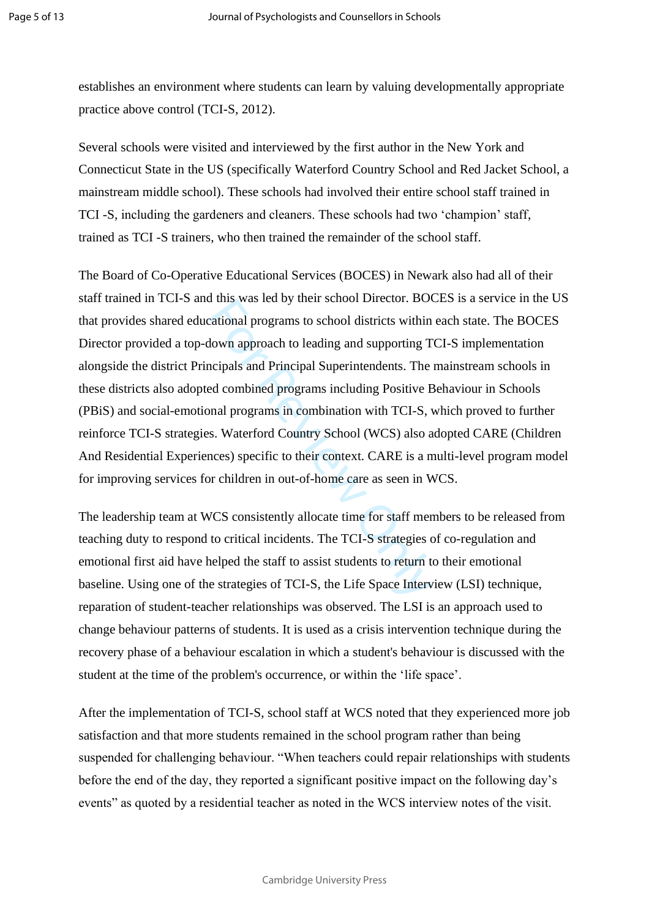establishes an environment where students can learn by valuing developmentally appropriate practice above control (TCI -S, 2012).

Several schools were visited and interviewed by the first author in the New York and Connecticut State in the US (specifically Waterford Country School and Red Jacket School, a mainstream middle school). These schools had involved their entire school staff trained in TCI -S, including the gardeners and cleaners. These schools had two 'champion' staff, trained as TCI -S trainers , who then trained the remainder of the school staff.

rational programs to school districts within<br>the approach to leading and supporting T<br>neipals and Principal Superintendents. The<br>ed combined programs including Positive E<br>nal programs in combination with TCI-S, v<br>s. Waterf The Board of Co -Operative Educational Services (BOCES) in Newark also had all of their staff trained in TCI -S and this was led by their school Director. BOCES is a service in the US that provides shared educational programs to school districts within each state. The BOCES Director provided a top-down approach to leading and supporting TCI-S implementation alongside the district Principals and Principal Superintendents. The mainstream schools in these districts also adopted combined programs including Positive Behaviour in Schools (PBiS) and social -emotional programs in combination with TCI -S, which proved to further reinforce TCI -S strategies. Waterford Country School (WCS) also adopted CARE (Children And Residential Experiences) specific to their context. CARE is a multi -level program model for improving services for children in out-of-home care as seen in WCS.

The leadership team at WCS consistently allocate time for staff members to be released from teaching duty to respond to critical incidents. The TCI -S strategies of co -regulation and emotional first aid have helped the staff to assist students to return to their emotional baseline. Using one of the strategies of TCI -S, the Life Space Interview (LSI) technique, reparation of student -teacher relationships was observed. The LSI is an approach used to change behaviour patterns of students. It is used as a crisis intervention technique during the recovery phase of a behaviour escalation in which a student's behaviour is discussed with the student at the time of the problem's occurrence, or within the 'life space'.

After the implementation of TCI -S, school staff at WCS noted that they experienced more job satisfaction and that more students remained in the school program rather than being suspended for challenging behaviour. "When teachers could repair relationships with students before the end of the day, they reported a significant positive impact on the following day's events" as quoted by a residential teacher as noted in the WCS interview notes of the visit.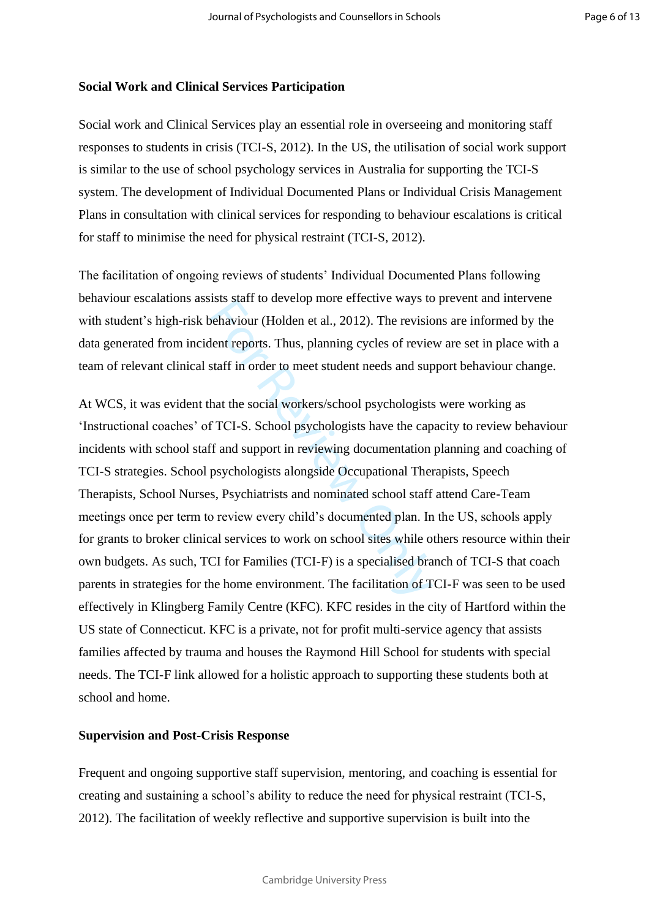### **Social Work and Clinical Services Participation**

Social work and Clinical Services play an essential role in overseeing and monitoring staff responses to students in crisis (TCI -S, 2012). In the US, the utilisation of social work support is similar to the use of school psychology services in Australia for supporting the TCI-S system. The development of Individual Documented Plans or Individual Crisis Management Plans in consultation with clinical services for responding to behaviour escalations is critical for staff to minimise the need for physical restraint (TCI -S, 2012).

The facilitation of ongoing reviews of students' Individual Documented Plans following behaviour escalations assists staff to develop more effective ways to prevent and intervene with student's high-risk behaviour (Holden et al., 2012). The revisions are informed by the data generated from incident reports. Thus, planning cycles of review are set in place with a team of relevant clinical staff in order to meet student needs and support behaviour change.

behaviour (Holden et al., 2012). The revision-<br>behaviour (Holden et al., 2012). The revision-<br>staff in order to meet student needs and sup-<br>hat the social workers/school psychologists<br>f TCI-S. School psychologists have the At WCS, it was evident that the social workers/school psychologists were working as 'Instructional coaches' of TCI -S. School psychologists have the capacity to review behaviour incidents with school staff and support in reviewing documentation planning and coaching of TCI -S strategies. School psychologists alongside Occupational Therapists, Speech Therapists, School Nurses, Psychiatrists and nominated school staff attend Care -Team meetings once per term to review every child's documented plan. In the US, schools apply for grants to broker clinical services to work on school sites while others resource within their own budgets. As such, TCI for Families (TCI-F) is a specialised branch of TCI-S that coach parents in strategies for the home environment. The facilitation of TCI -F was seen to be used effectively in Klingberg Family Centre (KFC). KFC resides in the city of Hartford within the US state of Connecticut. KFC is a private, not for profit multi-service agency that assists families affected by trauma and houses the Raymond Hill School for students with special needs. The TCI -F link allowed for a holistic approach to supporting these students both at school and home.

### **Supervision and Post -Crisis Response**

Frequent and ongoing supportive staff supervision, mentoring, and coaching is essential for creating and sustaining a school's ability to reduce the need for physical restraint (TCI -S, 2012). The facilitation of weekly reflective and supportive supervision is built into the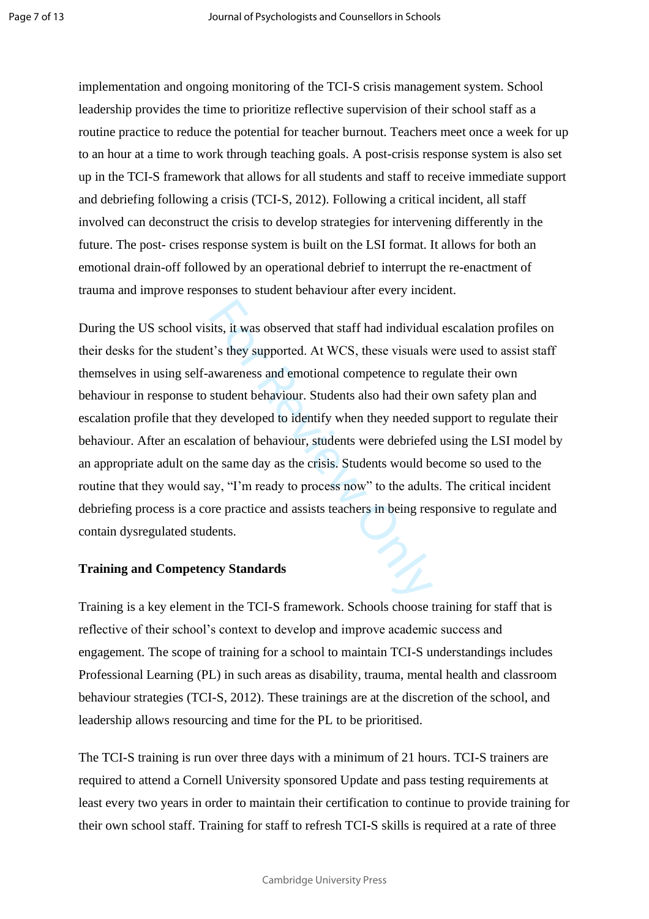implementation and ongoing monitoring of the TCI -S crisis management system. School leadership provides the time to prioritize reflective supervision of their school staff as a routine practice to reduce the potential for teacher burnout. Teachers meet once a week for up to an hour at a time to work through teaching goals. A post -crisis response system is also set up in the TCI -S framework that allows for all students and staff to receive immediate support and debriefing following a crisis (TCI -S, 2012). Following a critical incident, all staff involved can deconstruct the crisis to develop strategies for intervening differently in the future. The post- crises response system is built on the LSI format. It allows for both an emotional drain -off followed by an operational debrief to interrupt the re -enactment of trauma and improve responses to student behaviour after every incident.

its, it was observed that staff had individuat's they supported. At WCS, these visuals v<br>awareness and emotional competence to registudent behaviour. Students also had their or<br>given the student behaviour. Students also ha During the US school visits, it was observed that staff had individual escalation profiles on their desks for the student's they supported. At WCS, these visuals were used to assist staff themselves in using self-awareness and emotional competence to regulate their own behaviour in response to student behaviour. Students also had their own safety plan and escalation profile that they developed to identify when they needed support to regulate their behaviour. After an escalation of behaviour, students were debriefed using the LSI model by an appropriate adult on the same day as the crisis. Students would become so used to the routine that they would say, "I'm ready to process now" to the adults. The critical incident debriefing process is a core practice and assists teachers in being responsive to regulate and contain dysregulated students.

## **Training and Competency Standards**

Training is a key element in the TCI -S framework. Schools choose training for staff that is reflective of their school's context to develop and improve academic success and engagement. The scope of training for a school to maintain TCI -S understandings includes Professional Learning (PL) in such areas as disability, trauma, mental health and classroom behaviour strategies (TCI -S, 2012). These trainings are at the discretion of the school, and leadership allows resourcing and time for the PL to be prioritised.

The TCI -S training is run over three days with a minimum of 21 hours. TCI -S trainers are required to attend a Cornell University sponsored Update and pass testing requirements at least every two years in order to maintain their certification to continue to provide training for their own school staff. Training for staff to refresh TCI -S skills is required at a rate of three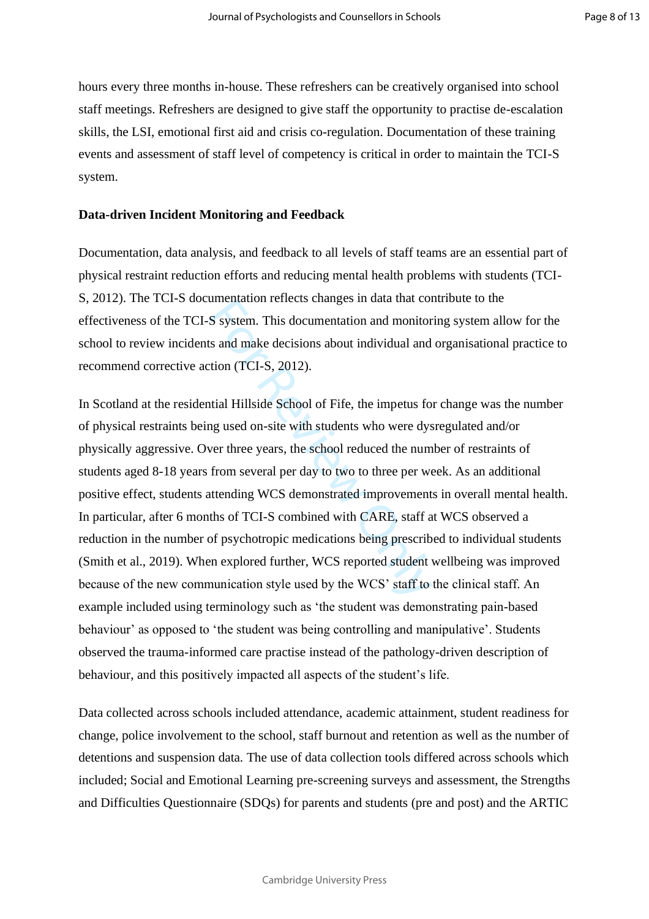hours every three months in -house. These refreshers can be creatively organised into school staff meetings. Refreshers are designed to give staff the opportunity to practise de -escalation skills, the LSI, emotional first aid and crisis co -regulation. Documentation of these training events and assessment of staff level of competency is critical in order to maintain the TCI -S system.

#### **Data -driven Incident Monitoring and Feedback**

Documentation, data analysis, and feedback to all levels of staff teams are an essential part of physical restraint reduction efforts and reducing mental health problems with students (TCI - S, 2012). The TCI -S documentation reflects changes in data that contribute to the effectiveness of the TCI -S system. This documentation and monitoring system allow for the school to review incidents and make decisions about individual and organisational practice to recommend corrective action (TCI -S, 2012).

S system. This documentation and monitor<br>S system. This documentation and monitor<br>s and make decisions about individual and<br>tion (TCI-S, 2012).<br>tital Hillside School of Fife, the impetus for<br>ng used on-site with students w In Scotland at the residential Hillside School of Fife, the impetus for change was the number of physical restraints being used on -site with students who were dysregulated and/or physically aggressive. Over three years, the school reduced the number of restraints of students aged 8 -18 years from several per day to two to three per week. As an additional positive effect, students attending WCS demonstrated improvements in overall mental health. In particular, after 6 months of TCI -S combined with CARE, staff at WCS observed a reduction in the number of psychotropic medications being prescribed to individual students (Smith et al., 2019). When explored further, WCS reported student wellbeing was improved because of the new communication style used by the WCS' staff to the clinical staff. An example included using terminology such as 'the student was demonstrating pain -based behaviour' as opposed to 'the student was being controlling and manipulative'. Students observed the trauma -informed care practise instead of the pathology -driven description of behaviour, and this positively impacted all aspects of the student's life.

Data collected across schools included attendance, academic attainment, student readiness for change, police involvement to the school, staff burnout and retention as well as the number of detentions and suspension data. The use of data collection tools differed across schools which included; Social and Emotional Learning pre -screening surveys and assessment, the Strengths and Difficulties Questionnaire (SDQs) for parents and students (pre and post) and the ARTIC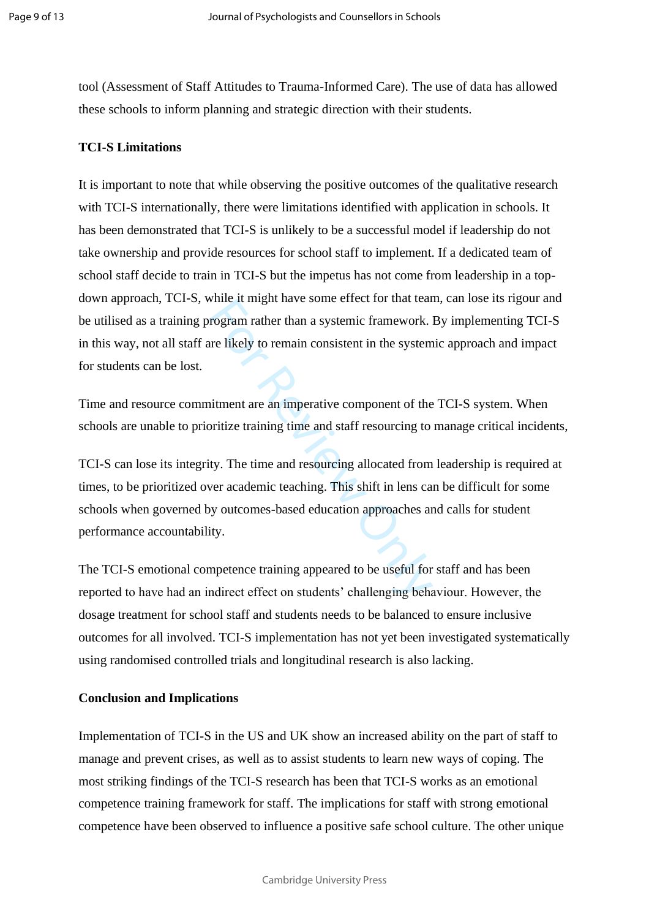tool (Assessment of Staff Attitudes to Trauma -Informed Care). The use of data has allowed these schools to inform planning and strategic direction with their students.

#### **TCI -S Limitations**

It is important to note that while observing the positive outcomes of the qualitative research with TCI -S internationally, there were limitations identified with application in schools. It has been demonstrated that TCI -S is unlikely to be a successful model if leadership do not take ownership and provide resources for school staff to implement. If a dedicated team of school staff decide to train in TCI-S but the impetus has not come from leadership in a topdown approach, TCI -S, while it might have some effect for that team, can lose its rigour and be utilised as a training program rather than a systemic framework. By implementing TCI-S in this way, not all staff are likely to remain consistent in the systemic approach and impact for students can be lost.

Time and resource commitment are an imperative component of the TCI -S system. When schools are unable to prioritize training time and staff resourcing to manage critical incidents,

For Revince it might have some effect for that team<br>rogram rather than a systemic framework. In<br>the likely to remain consistent in the system<br>internet are an imperative component of the<br>oritize training time and staff reso TCI -S can lose its integrity. The time and resourcing allocated from leadership is required at times, to be prioritized over academic teaching. This shift in lens can be difficult for some schools when governed by outcomes -based education approaches and calls for student performance accountability.

The TCI -S emotional competence training appeared to be useful for staff and has been reported to have had an indirect effect on students' challenging behaviour. However, the dosage treatment for school staff and students needs to be balanced to ensure inclusive outcomes for all involved. TCI -S implementation has not yet been investigated systematically using randomised controlled trials and longitudinal research is also lacking.

### **Conclusion and Implications**

Implementation of TCI -S in the US and UK show an increased ability on the part of staff to manage and prevent crises, as well as to assist students to learn new ways of coping. The most striking findings of the TCI -S research has been that TCI -S works as an emotional competence training framework for staff. The implications for staff with strong emotional competence have been observed to influence a positive safe school culture. The other unique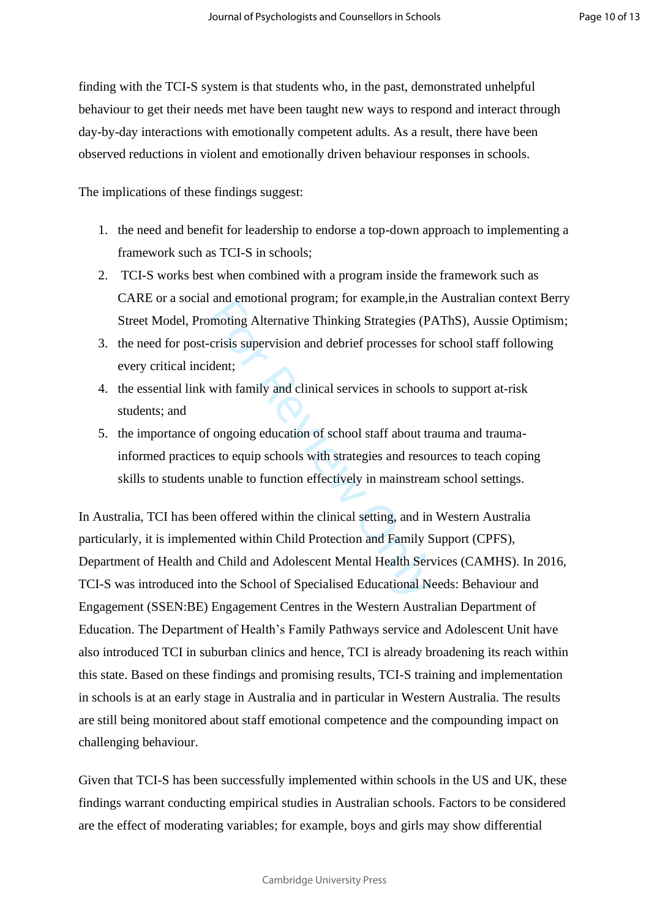finding with the TCI -S system is that students who, in the past, demonstrated unhelpful behaviour to get their needs met have been taught new ways to respond and interact through day -by -day interactions with emotionally competent adults. As a result, there have been observed reductions in violent and emotionally driven behaviour responses in schools.

The implications of these findings suggest:

- 1. the need and benefit for leadership to endorse a top -down approach to implementing a framework such as TCI -S in schools;
- 2. TCI -S works best when combined with a program inside the framework such as CARE or a social and emotional program; for example,in the Australian context Berry Street Model, Promoting Alternative Thinking Strategies (PAThS), Aussie Optimism ;
- 3. the need for post -crisis supervision and debrief processes for school staff following every critical incident;
- 4. the essential link with family and clinical services in schools to support at -risk students; and
- 5. the importance of ongoing education of school staff about trauma and trauma informed practices to equip schools with strategies and resources to teach coping skills to students unable to function effectively in mainstream school settings.

and chiotional program, for example, in the<br>moting Alternative Thinking Strategies (P<sub>/</sub><br>crisis supervision and debrief processes for<br>dent;<br>with family and clinical services in schools<br>congoing education of school staff ab In Australia, TCI has been offered within the clinical setting, and in Western Australia particularly, it is implemented within Child Protection and Family Support (CPFS), Department of Health and Child and Adolescent Mental Health Services (CAMHS). In 2016, TCI -S was introduced into the School of Specialised Educational Needs: Behaviour and Engagement (SSEN:BE) Engagement Centres in the Western Australian Department of Education. The Department of Health's Family Pathways service and Adolescent Unit have also introduced TCI in suburban clinics and hence, TCI is already broadening its reach within this state. Based on these findings and promising results, TCI -S training and implementation in schools is at an early stage in Australia and in particular in Western Australia. The results are still being monitored about staff emotional competence and the compounding impact on challenging behaviour.

Given that TCI -S has been successfully implemented within schools in the US and UK, these findings warrant conducting empirical studies in Australian schools. Factors to be considered are the effect of moderating variables; for example, boys and girls may show differential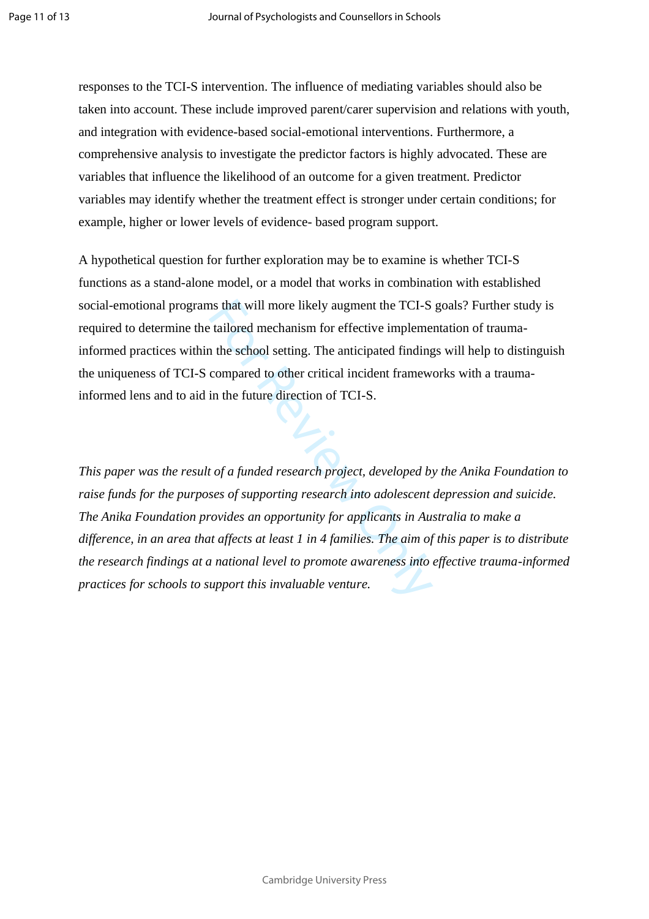responses to the TCI -S intervention. The influence of mediating variables should also be taken into account. These include improved parent/carer supervision and relations with youth, and integration with evidence -based social -emotional interventions. Furthermore, a comprehensive analysis to investigate the predictor factors is highly advocated. These are variables that influence the likelihood of an outcome for a given treatment. Predictor variables may identify whether the treatment effect is stronger under certain conditions; for example, higher or lower levels of evidence- based program support.

A hypothetical question for further exploration may be to examine is whether TCI -S functions as a stand -alone model, or a model that works in combination with established social-emotional programs that will more likely augment the TCI-S goals? Further study is required to determine the tailored mechanism for effective implementation of trauma informed practices within the school setting. The anticipated findings will help to distinguish the uniqueness of TCI -S compared to other critical incident frameworks with a trauma informed lens and to aid in the future direction of TCI -S.

The state will more likely augment the TCI-S<br>
tailored mechanism for effective impleme<br>
in the school setting. The anticipated finding<br>
compared to other critical incident framewers<br>
in the future direction of TCI-S.<br>
for *This paper was the result of a funded research project, developed by the Anika Foundation to raise funds for the purposes of supporting research into adolescent depression and suicide. The Anika Foundation provides an opportunity for applicants in Australia to make a difference, in an area that affects at least 1 in 4 families. The aim of this paper is to distribute*  the research findings at a national level to promote awareness into effective trauma-informed *practices for schools to support this invaluable venture.*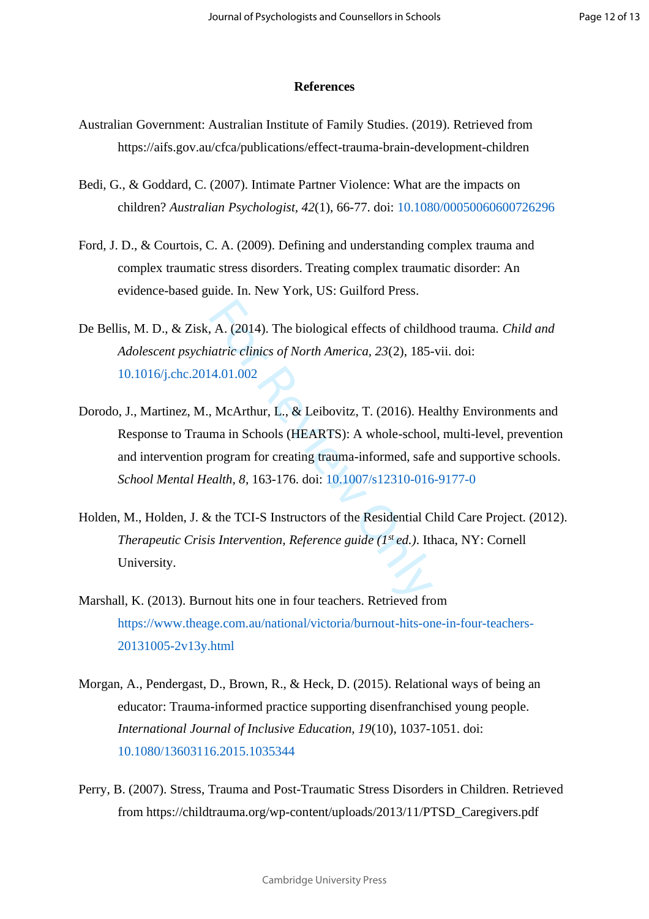#### **References**

- Australian Government: Australian Institute of Family Studies. (2019). Retrieved from https://aifs.gov.au/cfca/publications/effect-trauma-brain-development-children
- Bedi, G., & Goddard, C. (2007). Intimate Partner Violence: What are the impacts on children? *Australian Psychologist, 42*(1), 66 -77. doi: 10.1080/00050060600726296
- Ford, J. D., & Courtois, C. A. (2009). Defining and understanding complex trauma and complex traumatic stress disorders. Treating complex traumatic disorder: An evidence -based guide. In. New York, US: Guilford Press.
- De Bellis, M. D., & Zisk, A. (2014). The biological effects of childhood trauma. *Child and*  Adolescent psychiatric clinics of North America, 23(2), 185-vii. doi: 10.1016/j.chc.2014.01.002
- A. (2014). The biological effects of child<br>
iatric clinics of North America, 23(2), 185-<br>
4.01.002<br>
MCArthur, L., & Leibovitz, T. (2016). He<br>
ma in Schools (HEARTS): A whole-school<br>
program for creating trauma-informed, s Dorodo, J., Martinez, M., McArthur, L., & Leibovitz, T. (2016). Healthy Environments and Response to Trauma in Schools (HEARTS): A whole -school, multi -level, prevention and intervention program for creating trauma -informed, safe and supportive schools. School Mental Health, 8, 163-176. doi: 10.1007/s12310-016-9177-0
- Holden, M., Holden, J. & the TCI -S Instructors of the Residential Child Care Project. (2012). *Therapeutic Crisis Intervention, Reference guide (1st ed.)*. Ithaca, NY: Cornell University.
- Marshall, K. (2013). Burnout hits one in four teachers. Retrieved from https://www.theage.com.au/national/victoria/burnout-hits-one-in-four-teachers-20131005 -2v13y.html
- Morgan, A., Pendergast, D., Brown, R., & Heck, D. (2015). Relational ways of being an educator: Trauma -informed practice supporting disenfranchised young people. *International Journal of Inclusive Education, 19*(10), 1037 -1051. doi: 10.1080/13603116.2015.1035344
- Perry, B. (2007). Stress, Trauma and Post -Traumatic Stress Disorders in Children. Retrieved from https://childtrauma.org/wp -content/uploads/2013/11/PTSD\_Caregivers.pdf